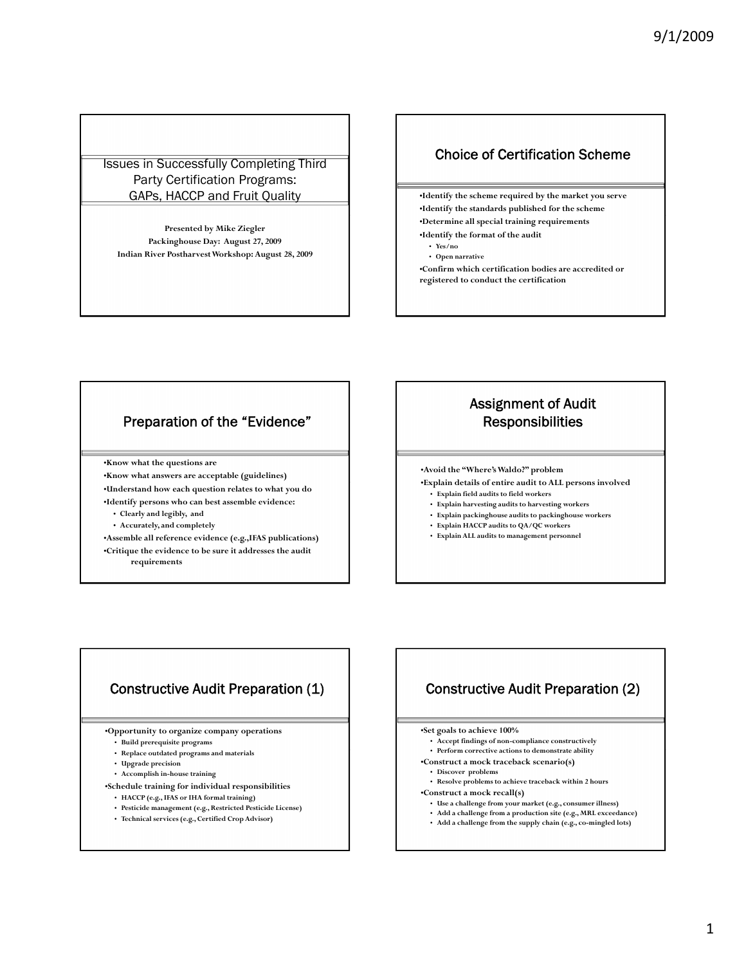#### Issues in Successfully Completing Third Party Certification Programs: GAPs, HACCP and Fruit Quality

**Presented by Mike Ziegler Packinghouse Day: August 27, 2009 Indian River Postharvest Workshop: August 28, 2009**

## Choice of Certification Scheme

•**Identify the scheme required by the market you serve**

•**Identify the standards published for the scheme**

•**Determine all special training requirements**

- •**Identify the format of the audit** • **Yes/no**
	-

• **Open narrative**

- •**Confirm which certification bodies are accredited or**
- **registered to conduct the certification**

## Preparation of the "Evidence"

•**Know what the questions are**

•**Know what answers are acceptable (guidelines)** •**Understand how each question relates to what you do** •**Identify persons who can best assemble evidence:**

- **Clearly and legibly, and**
- **Accurately, and completely**

•**Assemble all reference evidence (e.g.,IFAS publications)** •**Critique the evidence to be sure it addresses the audit requirements**

# Assignment of Audit **Responsibilities**

•**Avoid the "Where's Waldo?" problem**

- •**Explain details of entire audit to ALL persons involved**
- **Explain field audits to field workers**
- **Explain harvesting audits to harvesting workers**
- **Explain packinghouse audits to packinghouse workers**
- **Explain HACCP audits to QA/QC workers**
- **Explain ALL audits to management personnel**

# Constructive Audit Preparation (1)

•**Opportunity to organize company operations**

- **Build prerequisite programs**
- **Replace outdated programs and materials**
- **Upgrade precision**
- **Accomplish in-house training**
- •**Schedule training for individual responsibilities**
	- **HACCP (e.g., IFAS or IHA formal training)**
	- **Pesticide management (e.g., Restricted Pesticide License)**
	- **Technical services (e.g., Certified Crop Advisor)**

# Constructive Audit Preparation (2)

•**Set goals to achieve 100%**

- **Accept findings of non-compliance constructively**
- $\cdot$  **Perform** corrective actions to demonstrate ability
- •**Construct a mock traceback scenario(s)**
- **Discover problems**
- **Resolve problems to achieve traceback within 2 hours**
- •**Construct a mock recall(s)**
	- **Use a challenge from your market (e.g., consumer illness)**
- **Add a challenge from a production site (e.g., MRL exceedance)**
- **Add a challenge from the supply chain (e.g., co-mingled lots)**